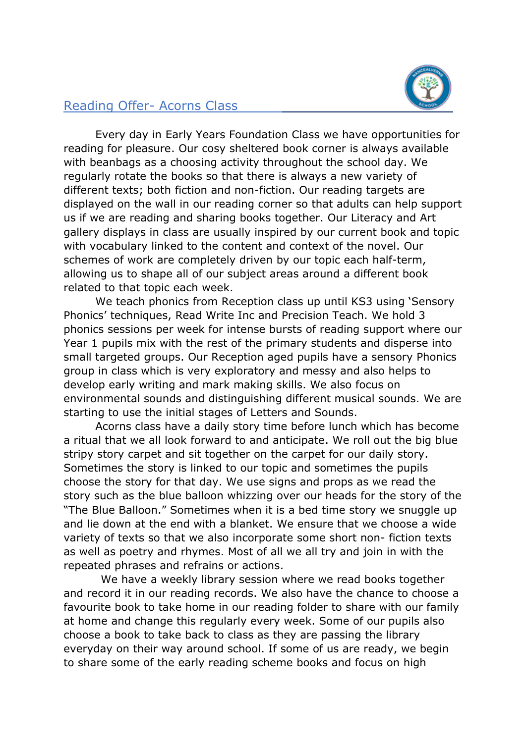

## Reading Offer- Acorns Class

Every day in Early Years Foundation Class we have opportunities for reading for pleasure. Our cosy sheltered book corner is always available with beanbags as a choosing activity throughout the school day. We regularly rotate the books so that there is always a new variety of different texts; both fiction and non-fiction. Our reading targets are displayed on the wall in our reading corner so that adults can help support us if we are reading and sharing books together. Our Literacy and Art gallery displays in class are usually inspired by our current book and topic with vocabulary linked to the content and context of the novel. Our schemes of work are completely driven by our topic each half-term, allowing us to shape all of our subject areas around a different book related to that topic each week.

We teach phonics from Reception class up until KS3 using 'Sensory' Phonics' techniques, Read Write Inc and Precision Teach. We hold 3 phonics sessions per week for intense bursts of reading support where our Year 1 pupils mix with the rest of the primary students and disperse into small targeted groups. Our Reception aged pupils have a sensory Phonics group in class which is very exploratory and messy and also helps to develop early writing and mark making skills. We also focus on environmental sounds and distinguishing different musical sounds. We are starting to use the initial stages of Letters and Sounds.

Acorns class have a daily story time before lunch which has become a ritual that we all look forward to and anticipate. We roll out the big blue stripy story carpet and sit together on the carpet for our daily story. Sometimes the story is linked to our topic and sometimes the pupils choose the story for that day. We use signs and props as we read the story such as the blue balloon whizzing over our heads for the story of the "The Blue Balloon." Sometimes when it is a bed time story we snuggle up and lie down at the end with a blanket. We ensure that we choose a wide variety of texts so that we also incorporate some short non- fiction texts as well as poetry and rhymes. Most of all we all try and join in with the repeated phrases and refrains or actions.

We have a weekly library session where we read books together and record it in our reading records. We also have the chance to choose a favourite book to take home in our reading folder to share with our family at home and change this regularly every week. Some of our pupils also choose a book to take back to class as they are passing the library everyday on their way around school. If some of us are ready, we begin to share some of the early reading scheme books and focus on high